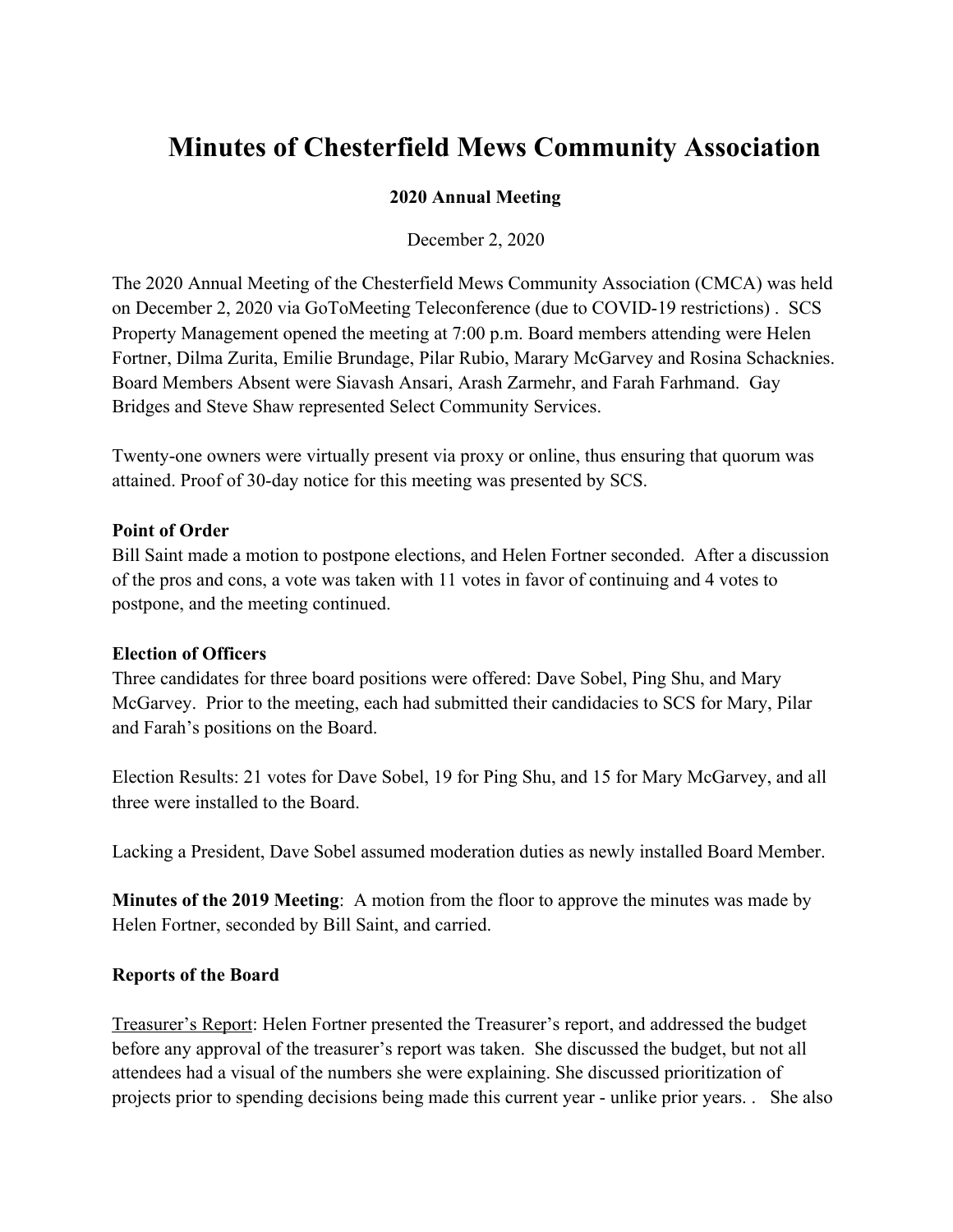# **Minutes of Chesterfield Mews Community Association**

## **2020 Annual Meeting**

December 2, 2020

The 2020 Annual Meeting of the Chesterfield Mews Community Association (CMCA) was held on December 2, 2020 via GoToMeeting Teleconference (due to COVID-19 restrictions) . SCS Property Management opened the meeting at 7:00 p.m. Board members attending were Helen Fortner, Dilma Zurita, Emilie Brundage, Pilar Rubio, Marary McGarvey and Rosina Schacknies. Board Members Absent were Siavash Ansari, Arash Zarmehr, and Farah Farhmand. Gay Bridges and Steve Shaw represented Select Community Services.

Twenty-one owners were virtually present via proxy or online, thus ensuring that quorum was attained. Proof of 30-day notice for this meeting was presented by SCS.

### **Point of Order**

Bill Saint made a motion to postpone elections, and Helen Fortner seconded. After a discussion of the pros and cons, a vote was taken with 11 votes in favor of continuing and 4 votes to postpone, and the meeting continued.

### **Election of Officers**

Three candidates for three board positions were offered: Dave Sobel, Ping Shu, and Mary McGarvey. Prior to the meeting, each had submitted their candidacies to SCS for Mary, Pilar and Farah's positions on the Board.

Election Results: 21 votes for Dave Sobel, 19 for Ping Shu, and 15 for Mary McGarvey, and all three were installed to the Board.

Lacking a President, Dave Sobel assumed moderation duties as newly installed Board Member.

**Minutes of the 2019 Meeting**: A motion from the floor to approve the minutes was made by Helen Fortner, seconded by Bill Saint, and carried.

## **Reports of the Board**

Treasurer's Report: Helen Fortner presented the Treasurer's report, and addressed the budget before any approval of the treasurer's report was taken. She discussed the budget, but not all attendees had a visual of the numbers she were explaining. She discussed prioritization of projects prior to spending decisions being made this current year - unlike prior years. . She also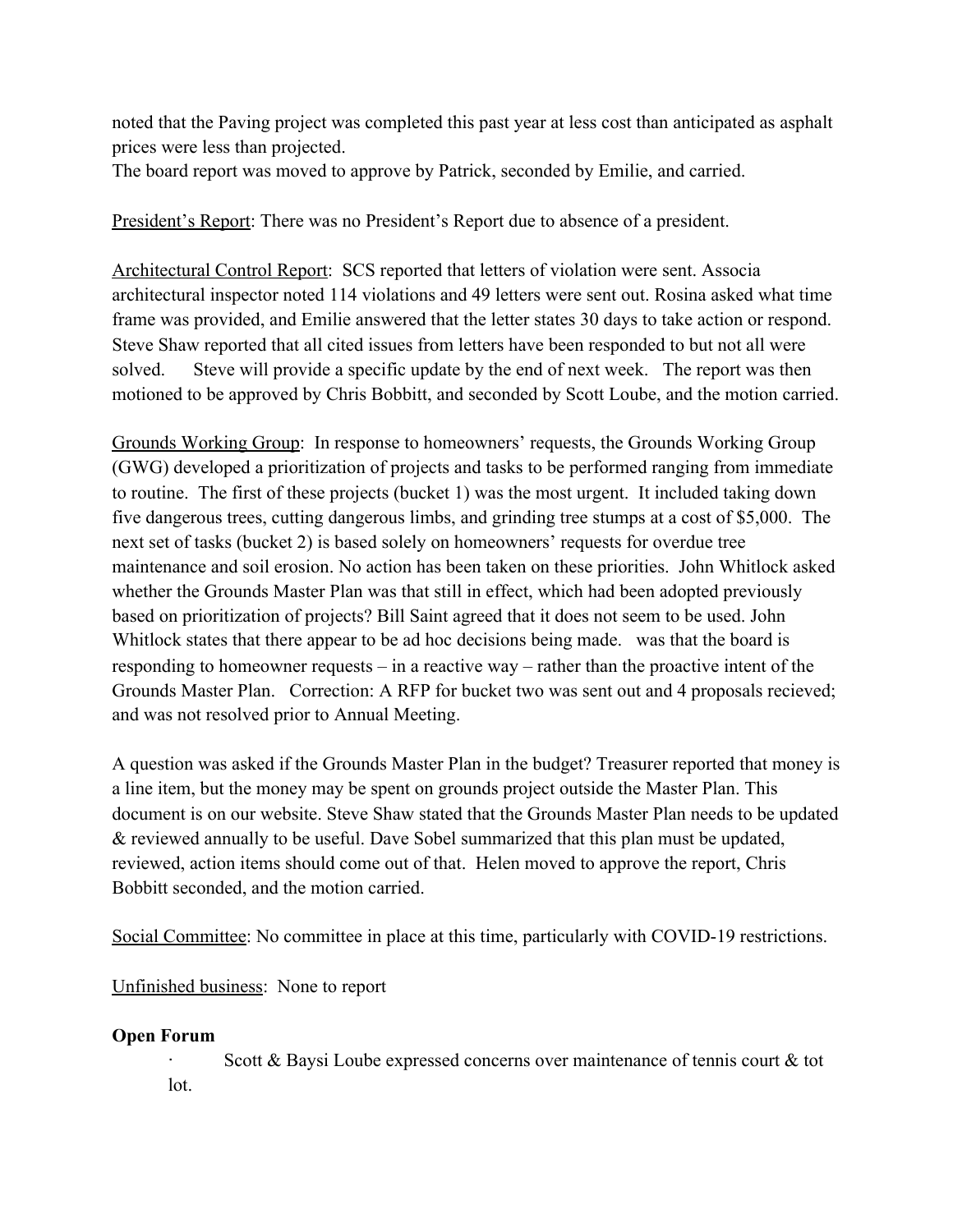noted that the Paving project was completed this past year at less cost than anticipated as asphalt prices were less than projected.

The board report was moved to approve by Patrick, seconded by Emilie, and carried.

President's Report: There was no President's Report due to absence of a president.

Architectural Control Report: SCS reported that letters of violation were sent. Associa architectural inspector noted 114 violations and 49 letters were sent out. Rosina asked what time frame was provided, and Emilie answered that the letter states 30 days to take action or respond. Steve Shaw reported that all cited issues from letters have been responded to but not all were solved. Steve will provide a specific update by the end of next week. The report was then motioned to be approved by Chris Bobbitt, and seconded by Scott Loube, and the motion carried.

Grounds Working Group: In response to homeowners' requests, the Grounds Working Group (GWG) developed a prioritization of projects and tasks to be performed ranging from immediate to routine. The first of these projects (bucket 1) was the most urgent. It included taking down five dangerous trees, cutting dangerous limbs, and grinding tree stumps at a cost of \$5,000. The next set of tasks (bucket 2) is based solely on homeowners' requests for overdue tree maintenance and soil erosion. No action has been taken on these priorities. John Whitlock asked whether the Grounds Master Plan was that still in effect, which had been adopted previously based on prioritization of projects? Bill Saint agreed that it does not seem to be used. John Whitlock states that there appear to be ad hoc decisions being made. was that the board is responding to homeowner requests – in a reactive way – rather than the proactive intent of the Grounds Master Plan. Correction: A RFP for bucket two was sent out and 4 proposals recieved; and was not resolved prior to Annual Meeting.

A question was asked if the Grounds Master Plan in the budget? Treasurer reported that money is a line item, but the money may be spent on grounds project outside the Master Plan. This document is on our website. Steve Shaw stated that the Grounds Master Plan needs to be updated & reviewed annually to be useful. Dave Sobel summarized that this plan must be updated, reviewed, action items should come out of that. Helen moved to approve the report, Chris Bobbitt seconded, and the motion carried.

Social Committee: No committee in place at this time, particularly with COVID-19 restrictions.

Unfinished business: None to report

# **Open Forum**

Scott  $\&$  Baysi Loube expressed concerns over maintenance of tennis court  $\&$  tot lot.